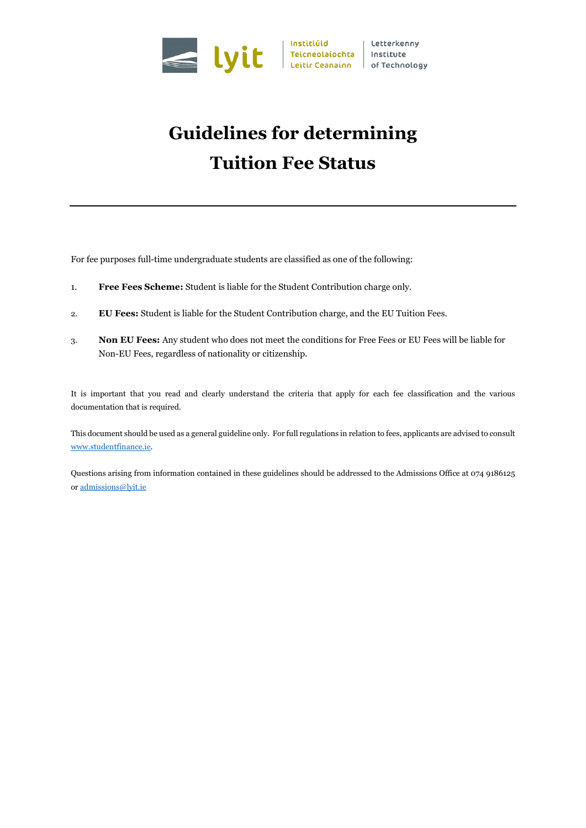

# **Guidelines for determining Tuition Fee Status**

For fee purposes full-time undergraduate students are classified as one of the following:

- 1. **Free Fees Scheme:** Student is liable for the Student Contribution charge only.
- 2. **EU Fees:** Student is liable for the Student Contribution charge, and the EU Tuition Fees.
- 3. **Non EU Fees:** Any student who does not meet the conditions for Free Fees or EU Fees will be liable for Non-EU Fees, regardless of nationality or citizenship.

It is important that you read and clearly understand the criteria that apply for each fee classification and the various documentation that is required.

This document should be used as a general guideline only. For full regulations in relation to fees, applicants are advised to consult [www.studentfinance.ie.](http://www.studentfinance.ie/)

Questions arising from information contained in these guidelines should be addressed to the Admissions Office at 074 9186125 o[r admissions@lyit.ie](mailto:admissions@lyit.ie)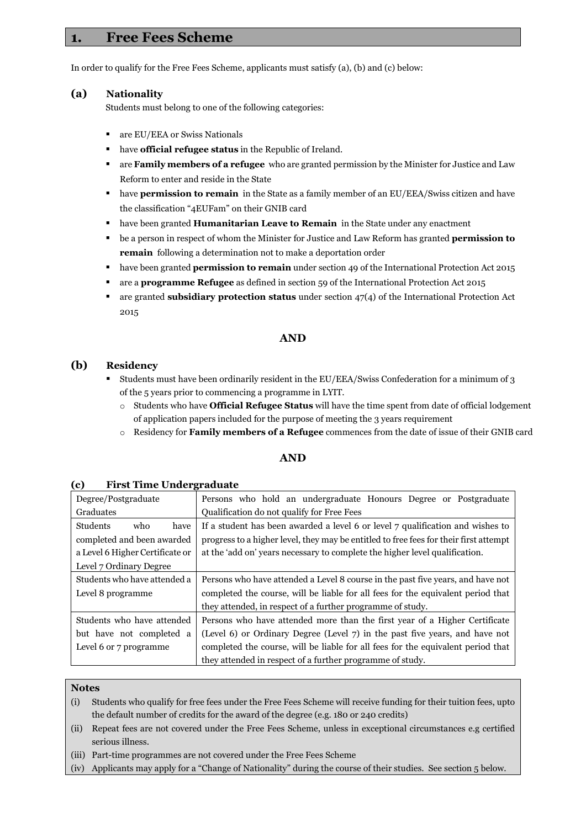## **1. Free Fees Scheme**

In order to qualify for the Free Fees Scheme, applicants must satisfy (a), (b) and (c) below:

#### **(a) Nationality**

Students must belong to one of the following categories:

- **a** are EU/EEA or Swiss Nationals
- have **official refugee status** in the Republic of Ireland.
- are **Family members of a refugee** who are granted permission by the Minister for Justice and Law Reform to enter and reside in the State
- **have permission to remain** in the State as a family member of an EU/EEA/Swiss citizen and have the classification "4EUFam" on their GNIB card
- **have been granted Humanitarian Leave to Remain** in the State under any enactment
- be a person in respect of whom the Minister for Justice and Law Reform has granted **permission to remain** following a determination not to make a deportation order
- **have been granted <b>permission to remain** under section 49 of the International Protection Act 2015
- are a **programme Refugee** as defined in section 59 of the International Protection Act 2015
- are granted **subsidiary protection status** under section 47(4) of the International Protection Act 2015

#### **AND**

#### **(b) Residency**

- Students must have been ordinarily resident in the EU/EEA/Swiss Confederation for a minimum of 3 of the 5 years prior to commencing a programme in LYIT.
	- o Students who have **Official Refugee Status** will have the time spent from date of official lodgement of application papers included for the purpose of meeting the 3 years requirement
	- o Residency for **Family members of a Refugee** commences from the date of issue of their GNIB card

#### **AND**

| Degree/Postgraduate             | Persons who hold an undergraduate Honours Degree or Postgraduate                      |
|---------------------------------|---------------------------------------------------------------------------------------|
| Graduates                       | Qualification do not qualify for Free Fees                                            |
| <b>Students</b><br>who<br>have  | If a student has been awarded a level 6 or level 7 qualification and wishes to        |
| completed and been awarded      | progress to a higher level, they may be entitled to free fees for their first attempt |
| a Level 6 Higher Certificate or | at the 'add on' years necessary to complete the higher level qualification.           |
| Level 7 Ordinary Degree         |                                                                                       |
| Students who have attended a    | Persons who have attended a Level 8 course in the past five years, and have not       |
| Level 8 programme               | completed the course, will be liable for all fees for the equivalent period that      |
|                                 | they attended, in respect of a further programme of study.                            |
| Students who have attended      | Persons who have attended more than the first year of a Higher Certificate            |
| but have not completed a        | (Level 6) or Ordinary Degree (Level 7) in the past five years, and have not           |
| Level 6 or 7 programme          | completed the course, will be liable for all fees for the equivalent period that      |
|                                 | they attended in respect of a further programme of study.                             |

#### **Notes**

(i) Students who qualify for free fees under the Free Fees Scheme will receive funding for their tuition fees, upto the default number of credits for the award of the degree (e.g. 180 or 240 credits)

- (ii) Repeat fees are not covered under the Free Fees Scheme, unless in exceptional circumstances e.g certified serious illness.
- (iii) Part-time programmes are not covered under the Free Fees Scheme
- (iv) Applicants may apply for a "Change of Nationality" during the course of their studies. See section 5 below.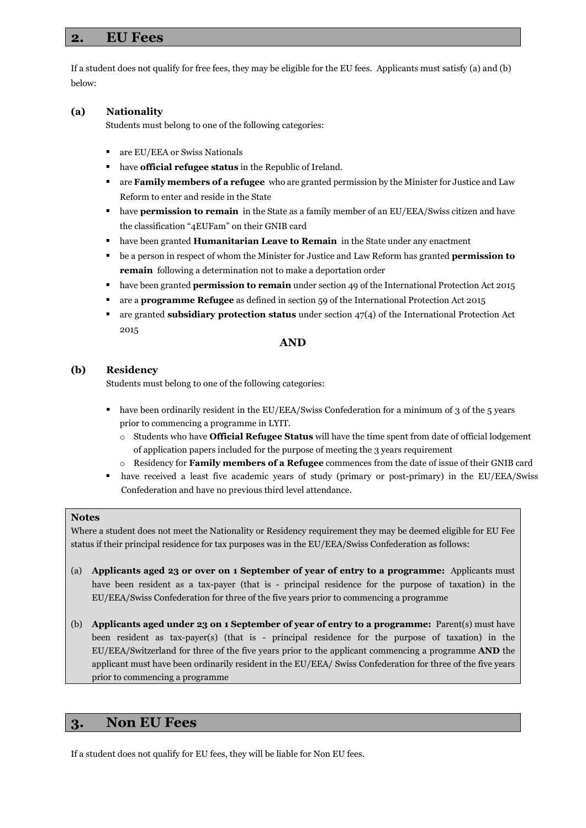## **2. EU Fees**

If a student does not qualify for free fees, they may be eligible for the EU fees. Applicants must satisfy (a) and (b) below:

#### **(a) Nationality**

Students must belong to one of the following categories:

- are EU/EEA or Swiss Nationals
- have **official refugee status** in the Republic of Ireland.
- are **Family members of a refugee** who are granted permission by the Minister for Justice and Law Reform to enter and reside in the State
- **have permission to remain** in the State as a family member of an EU/EEA/Swiss citizen and have the classification "4EUFam" on their GNIB card
- have been granted **Humanitarian Leave to Remain** in the State under any enactment
- be a person in respect of whom the Minister for Justice and Law Reform has granted **permission to remain** following a determination not to make a deportation order
- **have been granted <b>permission to remain** under section 49 of the International Protection Act 2015
- are a **programme Refugee** as defined in section 59 of the International Protection Act 2015
- are granted **subsidiary protection status** under section 47(4) of the International Protection Act 2015

#### **AND**

#### **(b) Residency**

Students must belong to one of the following categories:

- **•** have been ordinarily resident in the EU/EEA/Swiss Confederation for a minimum of 3 of the 5 years prior to commencing a programme in LYIT.
	- o Students who have **Official Refugee Status** will have the time spent from date of official lodgement of application papers included for the purpose of meeting the 3 years requirement
	- o Residency for **Family members of a Refugee** commences from the date of issue of their GNIB card
- have received a least five academic years of study (primary or post-primary) in the EU/EEA/Swiss Confederation and have no previous third level attendance.

#### **Notes**

Where a student does not meet the Nationality or Residency requirement they may be deemed eligible for EU Fee status if their principal residence for tax purposes was in the EU/EEA/Swiss Confederation as follows:

- (a) **Applicants aged 23 or over on 1 September of year of entry to a programme:** Applicants must have been resident as a tax-payer (that is - principal residence for the purpose of taxation) in the EU/EEA/Swiss Confederation for three of the five years prior to commencing a programme
- (b) **Applicants aged under 23 on 1 September of year of entry to a programme:** Parent(s) must have been resident as tax-payer(s) (that is - principal residence for the purpose of taxation) in the EU/EEA/Switzerland for three of the five years prior to the applicant commencing a programme **AND** the applicant must have been ordinarily resident in the EU/EEA/ Swiss Confederation for three of the five years prior to commencing a programme

## **3. Non EU Fees**

If a student does not qualify for EU fees, they will be liable for Non EU fees.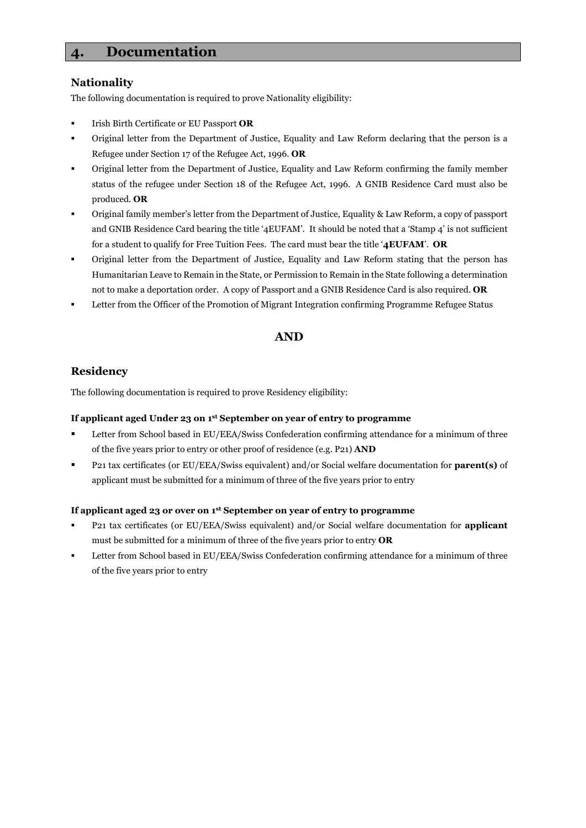# **4. Documentation**

#### **Nationality**

The following documentation is required to prove Nationality eligibility:

- Irish Birth Certificate or EU Passport **OR**
- Original letter from the Department of Justice, Equality and Law Reform declaring that the person is a Refugee under Section 17 of the Refugee Act, 1996. **OR**
- Original letter from the Department of Justice, Equality and Law Reform confirming the family member status of the refugee under Section 18 of the Refugee Act, 1996. A GNIB Residence Card must also be produced. **OR**
- Original family member's letter from the Department of Justice, Equality & Law Reform, a copy of passport and GNIB Residence Card bearing the title '4EUFAM'. It should be noted that a 'Stamp 4' is not sufficient for a student to qualify for Free Tuition Fees. The card must bear the title '**4EUFAM**'. **OR**
- Original letter from the Department of Justice, Equality and Law Reform stating that the person has Humanitarian Leave to Remain in the State, or Permission to Remain in the State following a determination not to make a deportation order. A copy of Passport and a GNIB Residence Card is also required. **OR**
- Letter from the Officer of the Promotion of Migrant Integration confirming Programme Refugee Status

### **AND**

## **Residency**

The following documentation is required to prove Residency eligibility:

#### **If applicant aged Under 23 on 1st September on year of entry to programme**

- Letter from School based in EU/EEA/Swiss Confederation confirming attendance for a minimum of three of the five years prior to entry or other proof of residence (e.g. P21) **AND**
- P21 tax certificates (or EU/EEA/Swiss equivalent) and/or Social welfare documentation for **parent(s)** of applicant must be submitted for a minimum of three of the five years prior to entry

#### **If applicant aged 23 or over on 1st September on year of entry to programme**

- P21 tax certificates (or EU/EEA/Swiss equivalent) and/or Social welfare documentation for **applicant** must be submitted for a minimum of three of the five years prior to entry **OR**
- Letter from School based in EU/EEA/Swiss Confederation confirming attendance for a minimum of three of the five years prior to entry